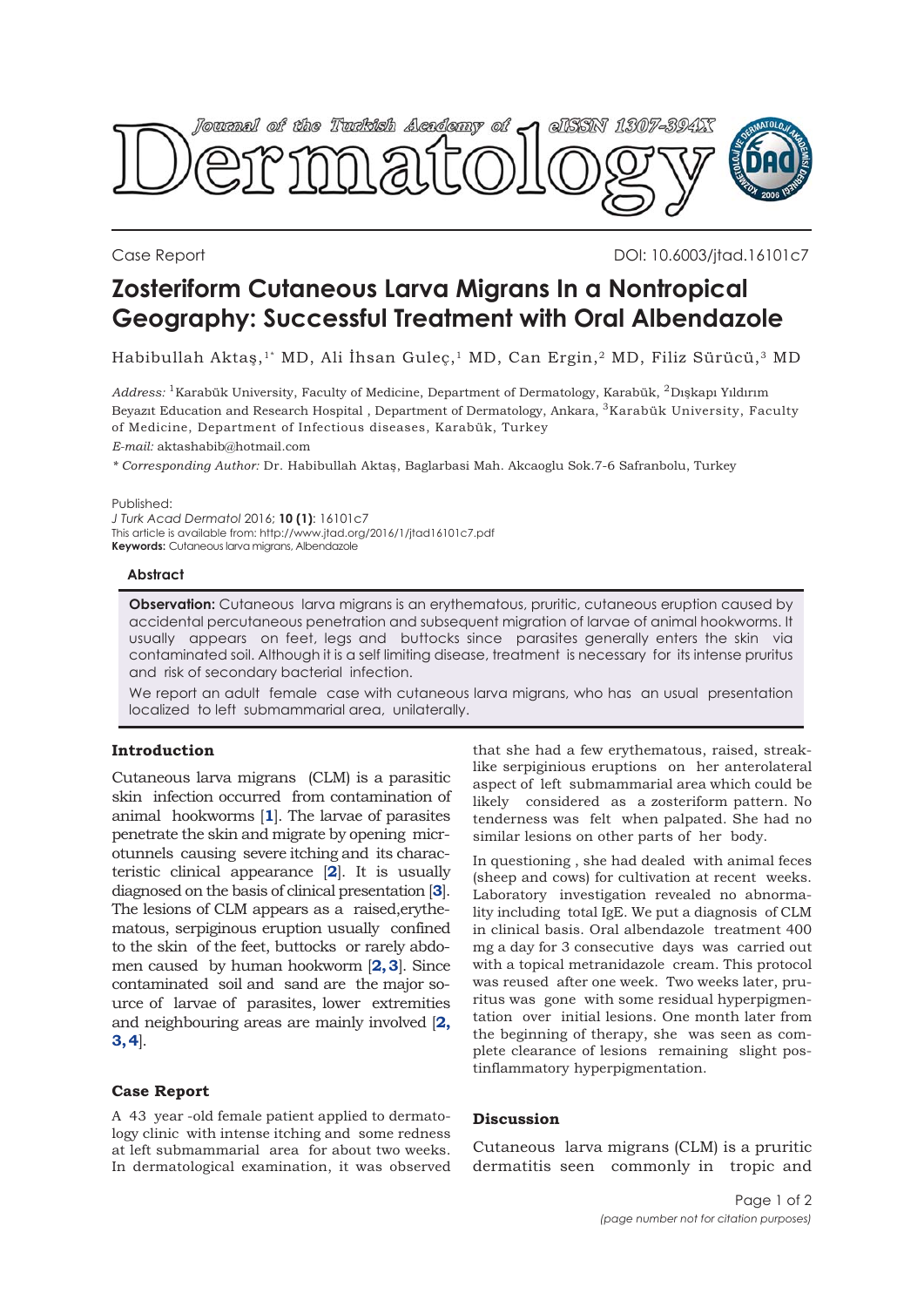

Case Report DOI: 10.6003/jtad.16101c7

# **Zosteriform Cutaneous Larva Migrans In a Nontropical Geography: Successful Treatment with Oral Albendazole**

Habibullah Aktaş,<sup>1\*</sup> MD, Ali İhsan Guleç,<sup>1</sup> MD, Can Ergin,<sup>2</sup> MD, Filiz Sürücü,<sup>3</sup> MD

*Address:* 1Karabük University, Faculty of Medicine, Department of Dermatology, Karabük, 2Dışkapı Yıldırım Beyazıt Education and Research Hospital , Department of Dermatology, Ankara, 3Karabük University, Faculty of Medicine, Department of Infectious diseases, Karabük, Turkey

*E-mail:* aktashabib@hotmail.com

*\* Corresponding Author:* Dr. Habibullah Aktaş, Baglarbasi Mah. Akcaoglu Sok.7-6 Safranbolu, Turkey

Published:

*J Turk Acad Dermatol* 2016; **10 (1)**: 16101c7 This article is available from: http://www.jtad.org/2016/1/jtad16101c7.pdf **Keywords:** Cutaneous larva migrans, Albendazole

#### **Abstract**

**Observation:** Cutaneous larva migrans is an erythematous, pruritic, cutaneous eruption caused by accidental percutaneous penetration and subsequent migration of larvae of animal hookworms. It usually appears on feet, legs and buttocks since parasites generally enters the skin via contaminated soil. Although it is a self limiting disease, treatment is necessary for its intense pruritus and risk of secondary bacterial infection.

We report an adult female case with cutaneous larva migrans, who has an usual presentation localized to left submammarial area, unilaterally.

## **Introduction**

Cutaneous larva migrans (CLM) is a parasitic skin infection occurred from contamination of animal hookworms [**[1](#page-1-0)**]. The larvae of parasites penetrate the skin and migrate by opening microtunnels causing severe itching and its characteristic clinical appearance [**[2](#page-1-0)**]. It is usually diagnosed on the basis of clinical presentation [**[3](#page-1-0)**]. The lesions of CLM appears as a raised,erythematous, serpiginous eruption usually confined to the skin of the feet, buttocks or rarely abdomen caused by human hookworm [**[2, 3](#page-1-0)**]. Since contaminated soil and sand are the major source of larvae of parasites, lower extremities and neighbouring areas are mainly involved [**[2,](#page-1-0) [3, 4](#page-1-0)**].

#### **Case Report**

A 43 year -old female patient applied to dermatology clinic with intense itching and some redness at left submammarial area for about two weeks. In dermatological examination, it was observed that she had a few erythematous, raised, streaklike serpiginious eruptions on her anterolateral aspect of left submammarial area which could be likely considered as a zosteriform pattern. No tenderness was felt when palpated. She had no similar lesions on other parts of her body.

In questioning , she had dealed with animal feces (sheep and cows) for cultivation at recent weeks. Laboratory investigation revealed no abnormality including total IgE. We put a diagnosis of CLM in clinical basis. Oral albendazole treatment 400 mg a day for 3 consecutive days was carried out with a topical metranidazole cream. This protocol was reused after one week. Two weeks later, pruritus was gone with some residual hyperpigmentation over initial lesions. One month later from the beginning of therapy, she was seen as complete clearance of lesions remaining slight postinflammatory hyperpigmentation.

### **Discussion**

Cutaneous larva migrans (CLM) is a pruritic dermatitis seen commonly in tropic and